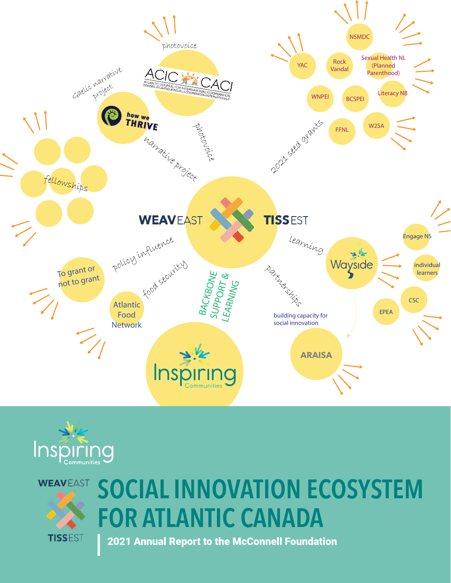





# SOCIAL INNOVATION ECOSYSTEM FOR ATLANTIC CANADA

2021 Annual Report to the McConnell Foundation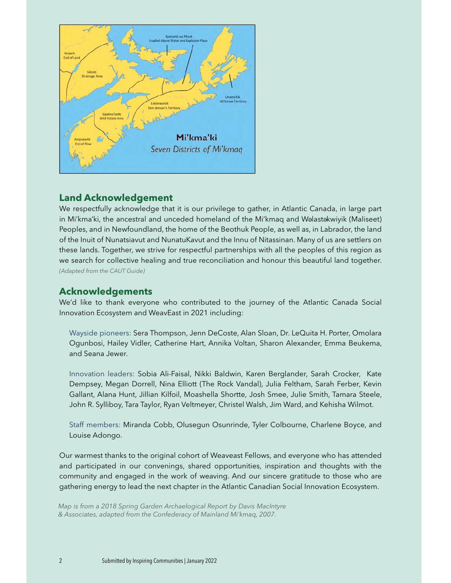

### **Land Acknowledgement**

in Mi'kma'ki, the ancestral and unceded homeland of the Mi'kmaq and Wəlastəkwiyik (Maliseet) We respectfully acknowledge that it is our privilege to gather, in Atlantic Canada, in large part Peoples, and in Newfoundland, the home of the Beothuk People, as well as, in Labrador, the land of the Inuit of Nunatsiavut and NunatuKavut and the Innu of Nitassinan. Many of us are settlers on these lands. Together, we strive for respectful partnerships with all the peoples of this region as we search for collective healing and true reconciliation and honour this beautiful land together. *(Adapted from the CAUT Guide)*

#### **Acknowledgements**

We'd like to thank everyone who contributed to the journey of the Atlantic Canada Social Innovation Ecosystem and WeavEast in 2021 including:

Wayside pioneers: Sera Thompson, Jenn DeCoste, Alan Sloan, Dr. LeQuita H. Porter, Omolara Ogunbosi, Hailey Vidler, Catherine Hart, Annika Voltan, Sharon Alexander, Emma Beukema, and Seana Jewer.

Innovation leaders: Sobia Ali-Faisal, Nikki Baldwin, Karen Berglander, Sarah Crocker, Kate Dempsey, Megan Dorrell, Nina Elliott (The Rock Vandal), Julia Feltham, Sarah Ferber, Kevin Gallant, Alana Hunt, Jillian Kilfoil, Moashella Shortte, Josh Smee, Julie Smith, Tamara Steele, John R. Sylliboy, Tara Taylor, Ryan Veltmeyer, Christel Walsh, Jim Ward, and Kehisha Wilmot.

Staff members: Miranda Cobb, Olusegun Osunrinde, Tyler Colbourne, Charlene Boyce, and Louise Adongo.

Our warmest thanks to the original cohort of Weaveast Fellows, and everyone who has attended and participated in our convenings, shared opportunities, inspiration and thoughts with the community and engaged in the work of weaving. And our sincere gratitude to those who are gathering energy to lead the next chapter in the Atlantic Canadian Social Innovation Ecosystem.

*Map is from a 2018 Spring Garden Archaelogical Report by Davis MacIntyre & Associates, adapted from the Confederacy of Mainland Mi'kmaq, 2007.*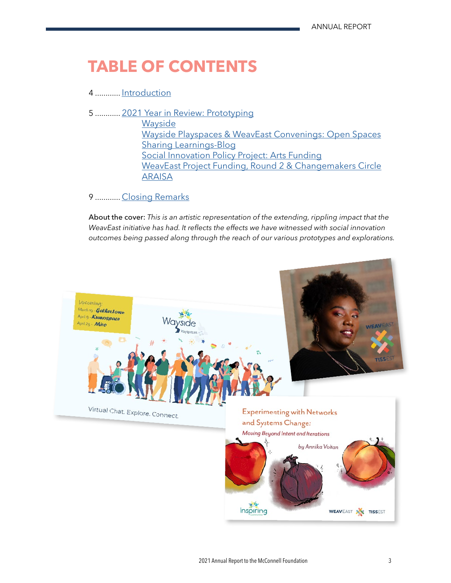# **TABLE OF CONTENTS**

#### 4 ............ [Introduction](#page-3-0)

5 ............ [2021 Year in Review: Prototyping](#page-4-0) **[Wayside](#page-4-0)** [Wayside Playspaces & WeavEast Convenings: Open Spaces](#page-4-0) [Sharing Learnings-Blog](#page-5-0) [Social Innovation Policy Project: Arts Funding](#page-5-0) [WeavEast Project Funding, Round 2 & Changemakers Circle](#page-5-0) [ARAISA](#page-7-0)

#### 9 ............ [Closing Remarks](#page-8-0)

About the cover: *This is an artistic representation of the extending, rippling impact that the WeavEast initiative has had. It reflects the effects we have witnessed with social innovation outcomes being passed along through the reach of our various prototypes and explorations.* 

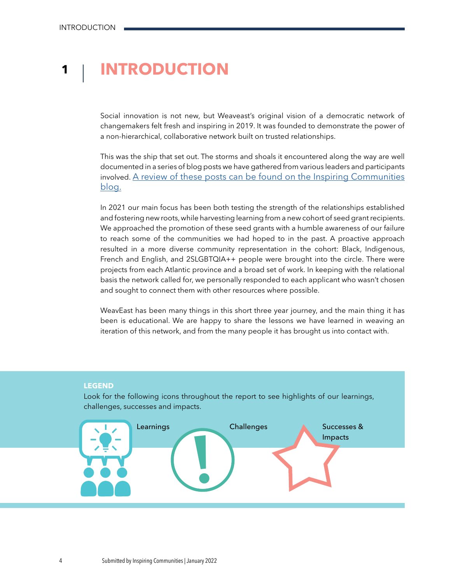### <span id="page-3-0"></span>**1 INTRODUCTION**

Social innovation is not new, but Weaveast's original vision of a democratic network of changemakers felt fresh and inspiring in 2019. It was founded to demonstrate the power of a non-hierarchical, collaborative network built on trusted relationships.

This was the ship that set out. The storms and shoals it encountered along the way are well documented in a series of blog posts we have gathered from various leaders and participants involved. <u>[A review of these posts can be found o](https://inspiringcommunities.ca/2021/11/19/lessons-in-weaving-a-network-2/)n the Inspiring Communities</u> blog.

In 2021 our main focus has been both testing the strength of the relationships established and fostering new roots, while harvesting learning from a new cohort of seed grant recipients. We approached the promotion of these seed grants with a humble awareness of our failure to reach some of the communities we had hoped to in the past. A proactive approach resulted in a more diverse community representation in the cohort: Black, Indigenous, French and English, and 2SLGBTQIA++ people were brought into the circle. There were projects from each Atlantic province and a broad set of work. In keeping with the relational basis the network called for, we personally responded to each applicant who wasn't chosen and sought to connect them with other resources where possible.

WeavEast has been many things in this short three year journey, and the main thing it has been is educational. We are happy to share the lessons we have learned in weaving an iteration of this network, and from the many people it has brought us into contact with.

#### **LEGEND**

Look for the following icons throughout the report to see highlights of our learnings, challenges, successes and impacts.

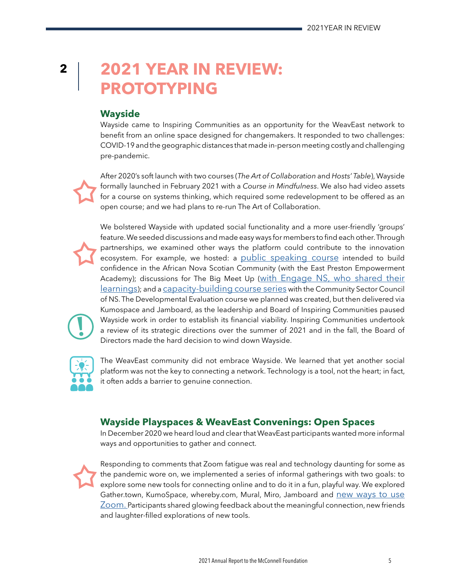## <span id="page-4-0"></span>**2 2021 YEAR IN REVIEW: PROTOTYPING**

#### **Wayside**

Wayside came to Inspiring Communities as an opportunity for the WeavEast network to benefit from an online space designed for changemakers. It responded to two challenges: COVID-19 and the geographic distances that made in-person meeting costly and challenging pre-pandemic.

After 2020's soft launch with two courses (*The Art of Collaboration* and *Hosts' Table*), Wayside formally launched in February 2021 with a *Course in Mindfulness*. We also had video assets for a course on systems thinking, which required some redevelopment to be offered as an open course; and we had plans to re-run The Art of Collaboration.

We bolstered Wayside with updated social functionality and a more user-friendly 'groups' feature. We seeded discussions and made easy ways for members to find each other. Through partnerships, we examined other ways the platform could contribute to the innovation ecosystem. For example, we hosted: a [public speaking course](https://inspiringcommunities.ca/2021/02/23/public-speaking/) intended to build confidence in the African Nova Scotian Community (with the East Preston Empowerment Academy); discussions for The Big Meet Up [\(with Engage NS, who shared their](https://inspiringcommunities.ca/2021/06/07/what-we-learned-conversations-about-quality-of-life-in-nova-scotia/)  [learnings\)](https://inspiringcommunities.ca/2021/06/07/what-we-learned-conversations-about-quality-of-life-in-nova-scotia/); and a [capacity-building course series](https://inspiringcommunities.ca/2021/05/06/poverty-reduction-through-capacity-building/) with the Community Sector Council of NS. The Developmental Evaluation course we planned was created, but then delivered via Kumospace and Jamboard, as the leadership and Board of Inspiring Communities paused Wayside work in order to establish its financial viability. Inspiring Communities undertook a review of its strategic directions over the summer of 2021 and in the fall, the Board of Directors made the hard decision to wind down Wayside.



**!**

The WeavEast community did not embrace Wayside. We learned that yet another social platform was not the key to connecting a network. Technology is a tool, not the heart; in fact, it often adds a barrier to genuine connection.

### **Wayside Playspaces & WeavEast Convenings: Open Spaces**

In December 2020 we heard loud and clear that WeavEast participants wanted more informal ways and opportunities to gather and connect.



Responding to comments that Zoom fatigue was real and technology daunting for some as the pandemic wore on, we implemented a series of informal gatherings with two goals: to explore some new tools for connecting online and to do it in a fun, playful way. We explored Gather.town, KumoSpace, whereby.com, Mural, Miro, Jamboard and [new ways to use](https://inspiringcommunities.ca/2021/03/11/how-to-host-an-open-space-session-with-zoom-and-jamboard/)  [Zoom.](https://inspiringcommunities.ca/2021/03/11/how-to-host-an-open-space-session-with-zoom-and-jamboard/) Participants shared glowing feedback about the meaningful connection, new friends and laughter-filled explorations of new tools.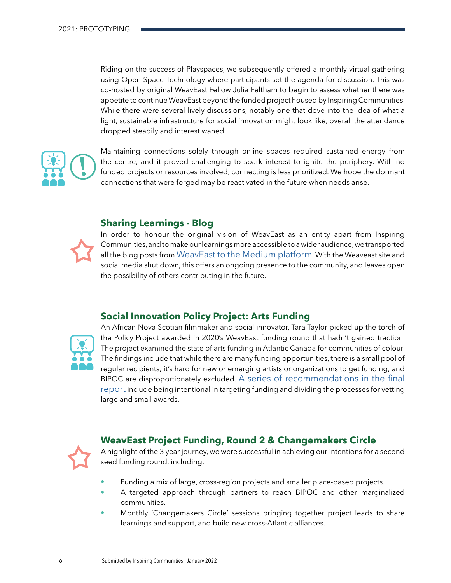<span id="page-5-0"></span>Riding on the success of Playspaces, we subsequently offered a monthly virtual gathering using Open Space Technology where participants set the agenda for discussion. This was co-hosted by original WeavEast Fellow Julia Feltham to begin to assess whether there was appetite to continue WeavEast beyond the funded project housed by Inspiring Communities. While there were several lively discussions, notably one that dove into the idea of what a light, sustainable infrastructure for social innovation might look like, overall the attendance dropped steadily and interest waned.



Maintaining connections solely through online spaces required sustained energy from the centre, and it proved challenging to spark interest to ignite the periphery. With no funded projects or resources involved, connecting is less prioritized. We hope the dormant connections that were forged may be reactivated in the future when needs arise.

#### **Sharing Learnings - Blog**



In order to honour the original vision of WeavEast as an entity apart from Inspiring Communities, and to make our learnings more accessible to a wider audience, we transported all the blog posts from [WeavEast to the Medium platform.](https://weaveast.medium.com/) With the Weaveast site and social media shut down, this offers an ongoing presence to the community, and leaves open the possibility of others contributing in the future.

#### **Social Innovation Policy Project: Arts Funding**



An African Nova Scotian filmmaker and social innovator, Tara Taylor picked up the torch of the Policy Project awarded in 2020's WeavEast funding round that hadn't gained traction. The project examined the state of arts funding in Atlantic Canada for communities of colour. The findings include that while there are many funding opportunities, there is a small pool of regular recipients; it's hard for new or emerging artists or organizations to get funding; and BIPOC are disproportionately excluded. [A series of recommendations in the final](https://weaveast.medium.com/to-grant-or-not-to-grant-pt-3-90c4436f32ca)  [report](https://weaveast.medium.com/to-grant-or-not-to-grant-pt-3-90c4436f32ca) include being intentional in targeting funding and dividing the processes for vetting large and small awards.

#### **WeavEast Project Funding, Round 2 & Changemakers Circle**



A highlight of the 3 year journey, we were successful in achieving our intentions for a second seed funding round, including:

- Funding a mix of large, cross-region projects and smaller place-based projects.
- A targeted approach through partners to reach BIPOC and other marginalized communities.
- Monthly 'Changemakers Circle' sessions bringing together project leads to share learnings and support, and build new cross-Atlantic alliances.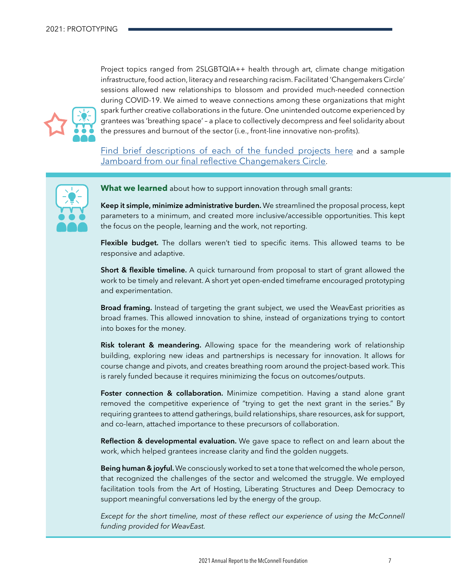Project topics ranged from 2SLGBTQIA++ health through art, climate change mitigation infrastructure, food action, literacy and researching racism. Facilitated 'Changemakers Circle' sessions allowed new relationships to blossom and provided much-needed connection during COVID-19. We aimed to weave connections among these organizations that might spark further creative collaborations in the future. One unintended outcome experienced by grantees was 'breathing space' – a place to collectively decompress and feel solidarity about the pressures and burnout of the sector (i.e., front-line innovative non-profits).

[Find brief descriptions of each of the funded projects here](https://inspiringcommunities.ca/2021/09/14/9-inspiring-social-innovation-projects-funded/) and a sample [Jamboard from our final reflective Changemakers Circle](https://jamboard.google.com/d/1zOIZeKSBK7wwidXPzXpUkkYqGqw2RaAI9LOsc58zpKQ/edit?usp=sharing).



**What we learned** about how to support innovation through small grants:

Keep it simple, minimize administrative burden. We streamlined the proposal process, kept parameters to a minimum, and created more inclusive/accessible opportunities. This kept the focus on the people, learning and the work, not reporting.

Flexible budget. The dollars weren't tied to specific items. This allowed teams to be responsive and adaptive.

Short & flexible timeline. A quick turnaround from proposal to start of grant allowed the work to be timely and relevant. A short yet open-ended timeframe encouraged prototyping and experimentation.

Broad framing. Instead of targeting the grant subject, we used the WeavEast priorities as broad frames. This allowed innovation to shine, instead of organizations trying to contort into boxes for the money.

**Risk tolerant & meandering.** Allowing space for the meandering work of relationship building, exploring new ideas and partnerships is necessary for innovation. It allows for course change and pivots, and creates breathing room around the project-based work. This is rarely funded because it requires minimizing the focus on outcomes/outputs.

Foster connection & collaboration. Minimize competition. Having a stand alone grant removed the competitive experience of "trying to get the next grant in the series." By requiring grantees to attend gatherings, build relationships, share resources, ask for support, and co-learn, attached importance to these precursors of collaboration.

Reflection & developmental evaluation. We gave space to reflect on and learn about the work, which helped grantees increase clarity and find the golden nuggets.

**Being human & joyful.** We consciously worked to set a tone that welcomed the whole person, that recognized the challenges of the sector and welcomed the struggle. We employed facilitation tools from the Art of Hosting, Liberating Structures and Deep Democracy to support meaningful conversations led by the energy of the group.

*Except for the short timeline, most of these reflect our experience of using the McConnell funding provided for WeavEast.*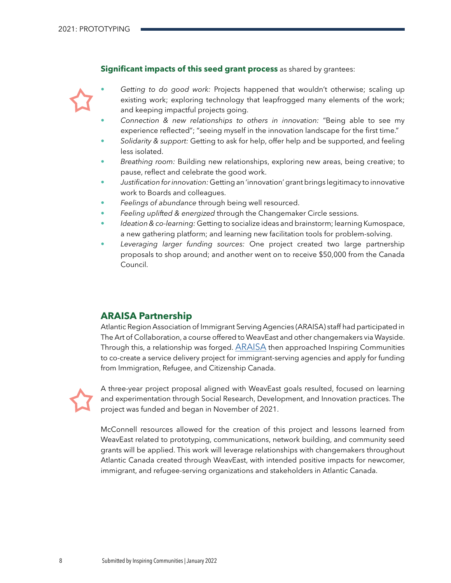#### **Significant impacts of this seed grant process** as shared by grantees:

<span id="page-7-0"></span>

• *Getting to do good work:* Projects happened that wouldn't otherwise; scaling up existing work; exploring technology that leapfrogged many elements of the work; and keeping impactful projects going.

- *Connection & new relationships to others in innovation:* "Being able to see my experience reflected"; "seeing myself in the innovation landscape for the first time."
- *Solidarity & support:* Getting to ask for help, offer help and be supported, and feeling less isolated.
- *Breathing room:* Building new relationships, exploring new areas, being creative; to pause, reflect and celebrate the good work.
- *Justification for innovation:* Getting an 'innovation' grant brings legitimacy to innovative work to Boards and colleagues.
- *Feelings of abundance* through being well resourced.
- *Feeling uplifted & energized* through the Changemaker Circle sessions.
- *Ideation & co-learning:* Getting to socialize ideas and brainstorm; learning Kumospace, a new gathering platform; and learning new facilitation tools for problem-solving.
- *Leveraging larger funding sources:* One project created two large partnership proposals to shop around; and another went on to receive \$50,000 from the Canada Council.

#### **ARAISA Partnership**

Atlantic Region Association of Immigrant Serving Agencies (ARAISA) staff had participated in The Art of Collaboration, a course offered to WeavEast and other changemakers via Wayside. Through this, a relationship was forged.  $ARAISA$  then approached Inspiring Communities to co-create a service delivery project for immigrant-serving agencies and apply for funding from Immigration, Refugee, and Citizenship Canada.



A three-year project proposal aligned with WeavEast goals resulted, focused on learning and experimentation through Social Research, Development, and Innovation practices. The project was funded and began in November of 2021.

McConnell resources allowed for the creation of this project and lessons learned from WeavEast related to prototyping, communications, network building, and community seed grants will be applied. This work will leverage relationships with changemakers throughout Atlantic Canada created through WeavEast, with intended positive impacts for newcomer, immigrant, and refugee-serving organizations and stakeholders in Atlantic Canada.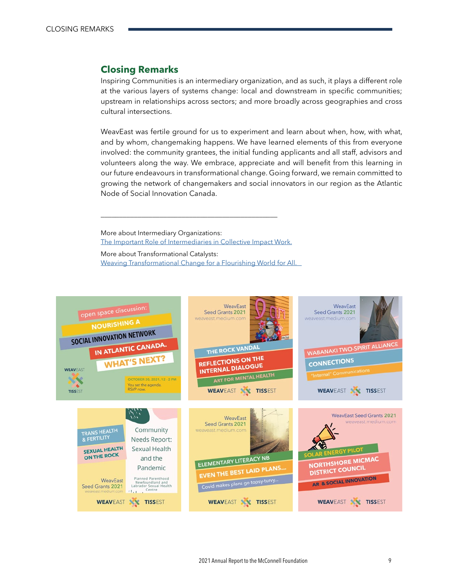#### <span id="page-8-0"></span>**Closing Remarks**

Inspiring Communities is an intermediary organization, and as such, it plays a different role at the various layers of systems change: local and downstream in specific communities; upstream in relationships across sectors; and more broadly across geographies and cross cultural intersections.

WeavEast was fertile ground for us to experiment and learn about when, how, with what, and by whom, changemaking happens. We have learned elements of this from everyone involved: the community grantees, the initial funding applicants and all staff, advisors and volunteers along the way. We embrace, appreciate and will benefit from this learning in our future endeavours in transformational change. Going forward, we remain committed to growing the network of changemakers and social innovators in our region as the Atlantic Node of Social Innovation Canada.

More about Intermediary Organizations: [The Important Role of Intermediaries in Collective Impact Work.](https://www.collectiveimpactforum.org/sites/default/files/The%20Important%20Role%20of%20Intermediaries%20in%20Collective%20Impact%20Work.pdf)

\_\_\_\_\_\_\_\_\_\_\_\_\_\_\_\_\_\_\_\_\_\_\_\_\_\_\_\_\_\_\_\_\_\_\_\_\_\_\_\_\_\_\_\_\_\_\_\_

More about Transformational Catalysts: [Weaving Transformational Change for a Flourishing World for All.](http://www.cadmusjournal.org/article/volume-4/issue-4/transformational-catalysts)